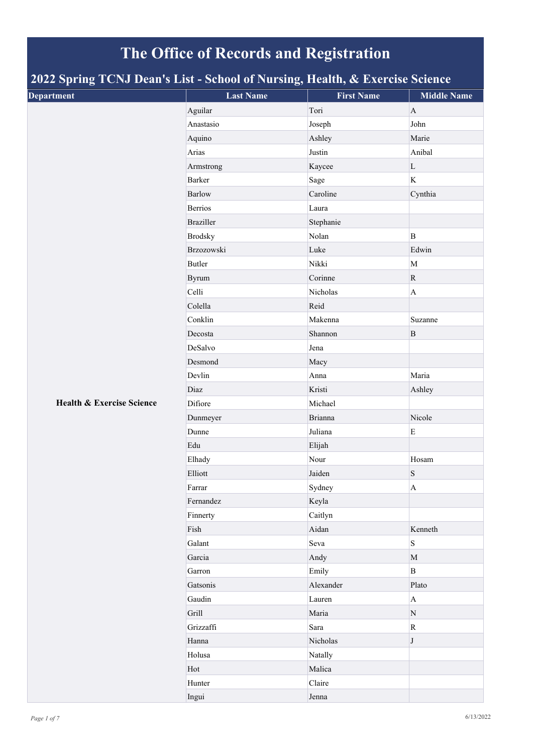## **The Office of Records and Registration**

## **2022 Spring TCNJ Dean's List - School of Nursing, Health, & Exercise Science**

|                                                                             | $\sigma'$        |                   |                       |
|-----------------------------------------------------------------------------|------------------|-------------------|-----------------------|
|                                                                             | <b>Last Name</b> | <b>First Name</b> | <b>Middle Name</b>    |
|                                                                             | Aguilar          | Tori              | $\mathbf{A}$          |
|                                                                             | Anastasio        | Joseph            | John                  |
|                                                                             | Aquino           | Ashley            | Marie                 |
| л.<br>$\sigma$<br><b>Department</b><br><b>Health &amp; Exercise Science</b> | Arias            | Justin            | Anibal                |
|                                                                             | Armstrong        | Kaycee            | $\mathbf L$           |
|                                                                             | Barker           | Sage              | $\mathbf K$           |
|                                                                             | <b>Barlow</b>    | Caroline          | Cynthia               |
|                                                                             | <b>Berrios</b>   | Laura             |                       |
|                                                                             | <b>Braziller</b> | Stephanie         |                       |
|                                                                             | <b>Brodsky</b>   | Nolan             | $\, {\bf B}$          |
|                                                                             | Brzozowski       | Luke              | Edwin                 |
|                                                                             | Butler           | Nikki             | $\mathbf M$           |
|                                                                             | Byrum            | Corinne           | ${\bf R}$             |
|                                                                             | Celli            | Nicholas          | $\mathbf A$           |
|                                                                             | Colella          | Reid              |                       |
|                                                                             | Conklin          | Makenna           | Suzanne               |
|                                                                             | Decosta          | Shannon           | $\, {\bf B}$          |
|                                                                             | DeSalvo          | Jena              |                       |
|                                                                             | Desmond          | Macy              |                       |
|                                                                             | Devlin           | Anna              | Maria                 |
|                                                                             | Diaz             | Kristi            | Ashley                |
|                                                                             | Difiore          | Michael           |                       |
|                                                                             | Dunmeyer         | <b>Brianna</b>    | Nicole                |
|                                                                             | Dunne            | Juliana           | E                     |
|                                                                             | Edu              | Elijah            |                       |
|                                                                             | Elhady           | Nour              | Hosam                 |
|                                                                             | Elliott          | Jaiden            | ${\bf S}$             |
|                                                                             | Farrar           | Sydney            | $\boldsymbol{\rm{A}}$ |
|                                                                             | Fernandez        | Keyla             |                       |
|                                                                             | Finnerty         | Caitlyn           |                       |
|                                                                             | Fish             | Aidan             | Kenneth               |
|                                                                             | Galant           | Seva              | S                     |
|                                                                             | Garcia           | Andy              | $\mathbf M$           |
|                                                                             | Garron           | Emily             | $\mathbf{B}$          |
|                                                                             | Gatsonis         | Alexander         | Plato                 |
|                                                                             | Gaudin           | Lauren            | $\mathbf A$           |
|                                                                             | Grill            | Maria             | ${\bf N}$             |
|                                                                             | Grizzaffi        | Sara              | $\mathbf R$           |
|                                                                             | Hanna            | Nicholas          | $J_{\rm}$             |
|                                                                             | Holusa           | Natally           |                       |
|                                                                             | Hot              | Malica            |                       |
|                                                                             | Hunter           | Claire            |                       |
|                                                                             | Ingui            | Jenna             |                       |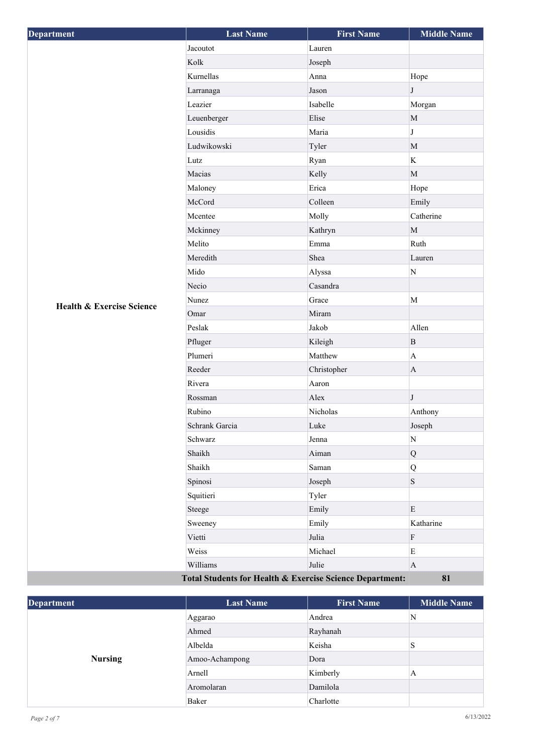| <b>Department</b>                                        | <b>Last Name</b> | <b>First Name</b> | <b>Middle Name</b> |
|----------------------------------------------------------|------------------|-------------------|--------------------|
|                                                          | Jacoutot         | Lauren            |                    |
|                                                          | Kolk             | Joseph            |                    |
|                                                          | Kurnellas        | Anna              | Hope               |
|                                                          | Larranaga        | Jason             | $\bf J$            |
|                                                          | Leazier          | Isabelle          | Morgan             |
|                                                          | Leuenberger      | Elise             | $\mathbf M$        |
|                                                          | Lousidis         | Maria             | $\bf J$            |
|                                                          | Ludwikowski      | Tyler             | $\mathbf M$        |
|                                                          | Lutz             | Ryan              | K                  |
|                                                          | Macias           | Kelly             | $\mathbf M$        |
|                                                          | Maloney          | Erica             | Hope               |
|                                                          | McCord           | Colleen           | Emily              |
|                                                          | Mcentee          | Molly             | Catherine          |
|                                                          | Mckinney         | Kathryn           | $\mathbf M$        |
|                                                          | Melito           | Emma              | Ruth               |
|                                                          | Meredith         | Shea              | Lauren             |
|                                                          | Mido             | Alyssa            | $\overline{\rm N}$ |
|                                                          | Necio            | Casandra          |                    |
| <b>Health &amp; Exercise Science</b>                     | Nunez            | Grace             | $\mathbf M$        |
|                                                          | Omar             | Miram             |                    |
|                                                          | Peslak           | Jakob             | Allen              |
|                                                          | Pfluger          | Kileigh           | $\, {\bf B}$       |
|                                                          | Plumeri          | Matthew           | $\mathbf{A}$       |
|                                                          | Reeder           | Christopher       | $\mathbf{A}$       |
|                                                          | Rivera           | Aaron             |                    |
|                                                          | Rossman          | Alex              | $_{\rm J}$         |
|                                                          | Rubino           | Nicholas          | Anthony            |
|                                                          | Schrank Garcia   | Luke              | Joseph             |
|                                                          | Schwarz          | Jenna             | N                  |
|                                                          | Shaikh           | Aiman             | $\bf Q$            |
|                                                          | Shaikh           | Saman             | Q                  |
|                                                          | Spinosi          | Joseph            | $\mathbf S$        |
|                                                          | Squitieri        | Tyler             |                    |
|                                                          | Steege           | Emily             | ${\bf E}$          |
|                                                          | Sweeney          | Emily             | Katharine          |
|                                                          | Vietti           | Julia             | ${\bf F}$          |
|                                                          | Weiss            | Michael           | ${\bf E}$          |
|                                                          | Williams         | Julie             | $\mathbf{A}$       |
| Total Students for Health & Exercise Science Department: |                  |                   | 81                 |

| <b>Department</b> | <b>Last Name</b> | <b>First Name</b> | <b>Middle Name</b> |
|-------------------|------------------|-------------------|--------------------|
|                   | Aggarao          | Andrea            | N                  |
|                   | Ahmed            | Rayhanah          |                    |
| <b>Nursing</b>    | Albelda          | Keisha            |                    |
|                   | Amoo-Achampong   | Dora              |                    |
|                   | Arnell           | Kimberly          | A                  |
|                   | Aromolaran       | Damilola          |                    |
|                   | Baker            | Charlotte         |                    |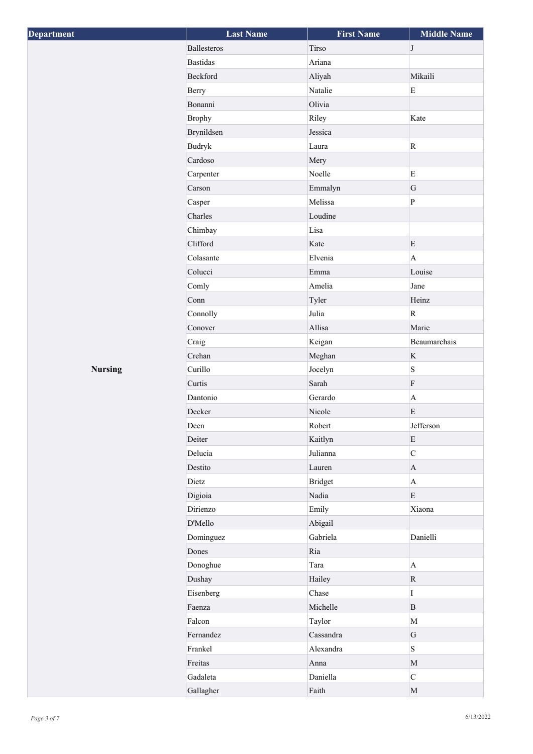| Department     | <b>Last Name</b> | <b>First Name</b> | <b>Middle Name</b> |
|----------------|------------------|-------------------|--------------------|
|                | Ballesteros      | Tirso             | $\bf J$            |
|                | <b>Bastidas</b>  | Ariana            |                    |
|                | Beckford         | Aliyah            | Mikaili            |
|                | Berry            | Natalie           | ${\bf E}$          |
|                | Bonanni          | Olivia            |                    |
|                | <b>Brophy</b>    | Riley             | Kate               |
|                | Brynildsen       | Jessica           |                    |
|                | Budryk           | Laura             | $\rm R$            |
|                | Cardoso          | Mery              |                    |
|                | Carpenter        | Noelle            | $\mathbf E$        |
|                | Carson           | Emmalyn           | $\mathsf G$        |
|                | Casper           | Melissa           | $\, {\bf P}$       |
|                | Charles          | Loudine           |                    |
|                | Chimbay          | Lisa              |                    |
|                | Clifford         | Kate              | E                  |
|                | Colasante        | Elvenia           | $\mathbf{A}$       |
|                | Colucci          | Emma              | Louise             |
|                | Comly            | Amelia            | Jane               |
|                | Conn             | Tyler             | Heinz              |
|                | Connolly         | Julia             | ${\bf R}$          |
|                | Conover          | Allisa            | Marie              |
|                | Craig            | Keigan            | Beaumarchais       |
|                | Crehan           | Meghan            | $\rm K$            |
| <b>Nursing</b> | Curillo          | Jocelyn           | $\,$ S $\,$        |
|                | Curtis           | Sarah             | $\rm F$            |
|                | Dantonio         | Gerardo           | $\mathbf{A}$       |
|                | Decker           | Nicole            | $\mathbf E$        |
|                | Deen             | Robert            | Jefferson          |
|                | Deiter           | Kaitlyn           | E                  |
|                | Delucia          | Julianna          | $\mathbf C$        |
|                | Destito          | Lauren            | $\mathbf{A}$       |
|                | Dietz            | <b>Bridget</b>    | $\bf{A}$           |
|                | Digioia          | Nadia             | E                  |
|                | Dirienzo         | Emily             | Xiaona             |
|                | D'Mello          | Abigail           |                    |
|                | Dominguez        | Gabriela          | Danielli           |
|                | Dones            | Ria               |                    |
|                | Donoghue         | Tara              | $\mathbf{A}$       |
|                | Dushay           | Hailey            | $\mathbf R$        |
|                | Eisenberg        | Chase             | $\mathbf I$        |
|                | Faenza           | Michelle          | $\mathbf{B}$       |
|                | Falcon           | Taylor            | $\mathbf M$        |
|                | Fernandez        | Cassandra         | $\mathbf G$        |
|                | Frankel          | Alexandra         | $\mathbf S$        |
|                | Freitas          | Anna              | $\mathbf M$        |
|                | Gadaleta         | Daniella          | $\overline{C}$     |
|                | Gallagher        | Faith             | $\mathbf M$        |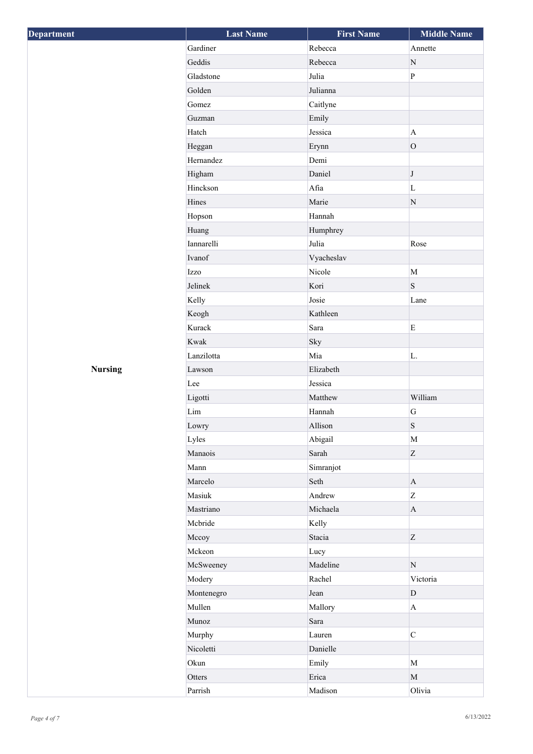| Department     | <b>Last Name</b>   | <b>First Name</b> | <b>Middle Name</b> |
|----------------|--------------------|-------------------|--------------------|
|                | Gardiner           | Rebecca           | Annette            |
|                | Geddis             | Rebecca           | $\mathbf N$        |
|                | Gladstone          | Julia             | $\, {\bf p}$       |
|                | Golden             | Julianna          |                    |
|                | Gomez              | Caitlyne          |                    |
|                | Guzman             | Emily             |                    |
|                | Hatch              | Jessica           | $\mathbf{A}$       |
|                | Heggan             | Erynn             | $\overline{O}$     |
|                | Hernandez          | Demi              |                    |
|                | Higham             | Daniel            | $\bf J$            |
|                | Hinckson           | Afia              | $\mathbf L$        |
|                | Hines              | Marie             | ${\bf N}$          |
|                | Hopson             | Hannah            |                    |
|                | Huang              | Humphrey          |                    |
|                | Iannarelli         | Julia             | Rose               |
|                | Ivanof             | Vyacheslav        |                    |
|                | Izzo               | Nicole            | M                  |
|                | Jelinek            | Kori              | $\,$ S $\,$        |
|                | Kelly              | Josie             | Lane               |
|                | Keogh              | Kathleen          |                    |
|                | Kurack             | Sara              | $\mathbf E$        |
|                | Kwak               | Sky               |                    |
|                | Lanzilotta         | Mia               | L.                 |
| <b>Nursing</b> | Lawson             | Elizabeth         |                    |
|                | Lee                | Jessica           |                    |
|                | Ligotti            | Matthew           | William            |
|                | $\mathop{\rm Lim}$ | Hannah            | ${\bf G}$          |
|                | Lowry              | Allison           | $\, {\bf S}$       |
|                | Lyles              | Abigail           | M                  |
|                | Manaois            | Sarah             | Z                  |
|                | Mann               | Simranjot         |                    |
|                | Marcelo            | Seth              | $\mathbf{A}$       |
|                | Masiuk             | Andrew            | Z                  |
|                | Mastriano          | Michaela          | $\mathbf{A}$       |
|                | Mcbride            | Kelly             |                    |
|                | Mccoy              | Stacia            | Z                  |
|                | Mckeon             | Lucy              |                    |
|                | McSweeney          | Madeline          | $\mathbf N$        |
|                | Modery             | Rachel            | Victoria           |
|                | Montenegro         | Jean              | $\mathbf{D}$       |
|                | Mullen             | Mallory           | $\mathbf{A}$       |
|                | Munoz              | Sara              |                    |
|                | Murphy             | Lauren            | $\mathbf{C}$       |
|                | Nicoletti          | Danielle          |                    |
|                | Okun               | Emily             | M                  |
|                | Otters             | Erica             | $\mathbf{M}$       |
|                | Parrish            | Madison           | Olivia             |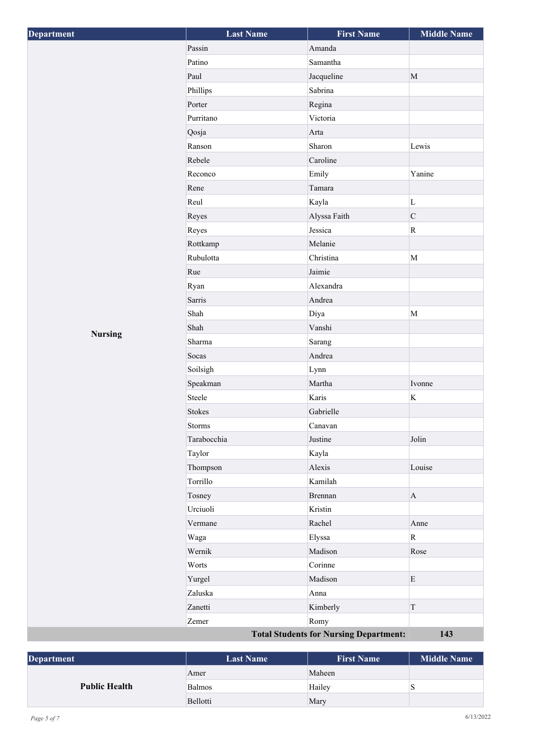| Department                                    | <b>Last Name</b> | <b>First Name</b> | <b>Middle Name</b>      |
|-----------------------------------------------|------------------|-------------------|-------------------------|
|                                               | Passin           | Amanda            |                         |
|                                               | Patino           | Samantha          |                         |
|                                               | Paul             | Jacqueline        | $\mathbf M$             |
|                                               | Phillips         | Sabrina           |                         |
|                                               | Porter           | Regina            |                         |
|                                               | Purritano        | Victoria          |                         |
|                                               | Qosja            | Arta              |                         |
|                                               | Ranson           | Sharon            | Lewis                   |
|                                               | Rebele           | Caroline          |                         |
|                                               | Reconco          | Emily             | Yanine                  |
|                                               | Rene             | Tamara            |                         |
|                                               | Reul             | Kayla             | $\mathbf L$             |
|                                               | Reyes            | Alyssa Faith      | $\mathsf C$             |
|                                               | Reyes            | Jessica           | $\mathbf R$             |
|                                               | Rottkamp         | Melanie           |                         |
|                                               | Rubulotta        | Christina         | $\mathbf M$             |
|                                               | Rue              | Jaimie            |                         |
|                                               | Ryan             | Alexandra         |                         |
|                                               | Sarris           | Andrea            |                         |
|                                               | Shah             | Diya              | $\mathbf M$             |
| <b>Nursing</b>                                | Shah             | Vanshi            |                         |
|                                               | Sharma           | Sarang            |                         |
|                                               | Socas            | Andrea            |                         |
|                                               | Soilsigh         | Lynn              |                         |
|                                               | Speakman         | Martha            | Ivonne                  |
|                                               | Steele           | Karis             | $\rm K$                 |
|                                               | Stokes           | Gabrielle         |                         |
|                                               | Storms           | Canavan           |                         |
|                                               | Tarabocchia      | Justine           | Jolin                   |
|                                               | Taylor           | Kayla             |                         |
|                                               | Thompson         | Alexis            | Louise                  |
|                                               | Torrillo         | Kamilah           |                         |
|                                               | Tosney           | Brennan           | $\bf{A}$                |
|                                               | Urciuoli         | Kristin           |                         |
|                                               | Vermane          | Rachel            | Anne                    |
|                                               | Waga             | Elyssa            | $\overline{\mathbf{R}}$ |
|                                               | Wernik           | Madison           | Rose                    |
|                                               | Worts            | Corinne           |                         |
|                                               | Yurgel           | Madison           | ${\bf E}$               |
|                                               | Zaluska          | Anna              |                         |
|                                               | Zanetti          | Kimberly          | $\mathcal T$            |
|                                               | Zemer            | Romy              |                         |
| <b>Total Students for Nursing Department:</b> |                  |                   | 143                     |

| <b>Department</b>    | <b>Last Name</b> | <b>First Name</b> | Middle Name |
|----------------------|------------------|-------------------|-------------|
| <b>Public Health</b> | Amer             | Maheen            |             |
|                      | <b>Balmos</b>    | Hailey            |             |
|                      | Bellotti         | Mary              |             |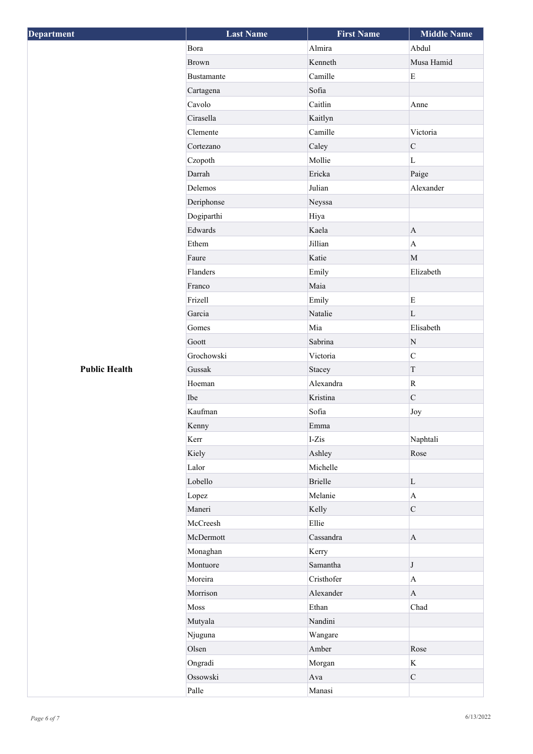| Department           | <b>Last Name</b> | <b>First Name</b> | <b>Middle Name</b> |
|----------------------|------------------|-------------------|--------------------|
|                      | Bora             | Almira            | Abdul              |
|                      | <b>Brown</b>     | Kenneth           | Musa Hamid         |
|                      | Bustamante       | Camille           | $\mathbf E$        |
|                      | Cartagena        | Sofia             |                    |
|                      | Cavolo           | Caitlin           | Anne               |
|                      | Cirasella        | Kaitlyn           |                    |
|                      | Clemente         | Camille           | Victoria           |
|                      | Cortezano        | Caley             | $\mathbf C$        |
|                      | Czopoth          | Mollie            | L                  |
|                      | Darrah           | Ericka            | Paige              |
|                      | Delemos          | Julian            | Alexander          |
|                      | Deriphonse       | Neyssa            |                    |
|                      | Dogiparthi       | Hiya              |                    |
|                      | Edwards          | Kaela             | $\mathbf{A}$       |
|                      | Ethem            | Jillian           | $\mathbf{A}$       |
|                      | Faure            | Katie             | $\mathbf{M}$       |
|                      | Flanders         | Emily             | Elizabeth          |
|                      | Franco           | Maia              |                    |
|                      | Frizell          | Emily             | $\mathbf E$        |
|                      | Garcia           | Natalie           | L                  |
|                      | Gomes            | Mia               | Elisabeth          |
|                      | Goott            | Sabrina           | ${\bf N}$          |
|                      | Grochowski       | Victoria          | $\overline{C}$     |
| <b>Public Health</b> | Gussak           | Stacey            | $\mathbf T$        |
|                      | Hoeman           | Alexandra         | $\mathbf R$        |
|                      | Ibe              | Kristina          | $\mathbf C$        |
|                      | Kaufman          | Sofia             | Joy                |
|                      | Kenny            | Emma              |                    |
|                      | Kerr             | $I-Zis$           | Naphtali           |
|                      | Kiely            | Ashley            | Rose               |
|                      | Lalor            | Michelle          |                    |
|                      | Lobello          | <b>Brielle</b>    | $\mathbf{L}$       |
|                      | Lopez            | Melanie           | $\mathbf{A}$       |
|                      | Maneri           | Kelly             | $\mathbf C$        |
|                      | McCreesh         | Ellie             |                    |
|                      | McDermott        | Cassandra         | $\mathbf A$        |
|                      | Monaghan         | Kerry             |                    |
|                      | Montuore         | Samantha          | $\bf J$            |
|                      | Moreira          | Cristhofer        | $\mathbf A$        |
|                      | Morrison         | Alexander         | $\bf{A}$           |
|                      | Moss             | Ethan             | Chad               |
|                      | Mutyala          | Nandini           |                    |
|                      | Njuguna          | Wangare           |                    |
|                      | Olsen            | Amber             | Rose               |
|                      | Ongradi          | Morgan            | $\rm K$            |
|                      | Ossowski         | Ava               | $\mathbf C$        |
|                      | Palle            | Manasi            |                    |